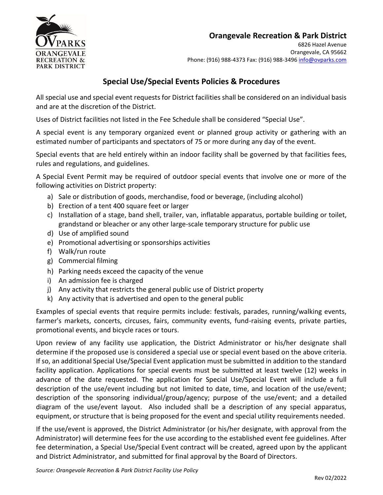

# **Orangevale Recreation & Park District**

# **Special Use/Special Events Policies & Procedures**

All special use and special event requests for District facilities shall be considered on an individual basis and are at the discretion of the District.

Uses of District facilities not listed in the Fee Schedule shall be considered "Special Use".

A special event is any temporary organized event or planned group activity or gathering with an estimated number of participants and spectators of 75 or more during any day of the event.

Special events that are held entirely within an indoor facility shall be governed by that facilities fees, rules and regulations, and guidelines.

A Special Event Permit may be required of outdoor special events that involve one or more of the following activities on District property:

- a) Sale or distribution of goods, merchandise, food or beverage, (including alcohol)
- b) Erection of a tent 400 square feet or larger
- c) Installation of a stage, band shell, trailer, van, inflatable apparatus, portable building or toilet, grandstand or bleacher or any other large-scale temporary structure for public use
- d) Use of amplified sound
- e) Promotional advertising or sponsorships activities
- f) Walk/run route
- g) Commercial filming
- h) Parking needs exceed the capacity of the venue
- i) An admission fee is charged
- j) Any activity that restricts the general public use of District property
- k) Any activity that is advertised and open to the general public

Examples of special events that require permits include: festivals, parades, running/walking events, farmer's markets, concerts, circuses, fairs, community events, fund-raising events, private parties, promotional events, and bicycle races or tours.

Upon review of any facility use application, the District Administrator or his/her designate shall determine if the proposed use is considered a special use or special event based on the above criteria. If so, an additional Special Use/Special Event application must be submitted in addition to the standard facility application. Applications for special events must be submitted at least twelve (12) weeks in advance of the date requested. The application for Special Use/Special Event will include a full description of the use/event including but not limited to date, time, and location of the use/event; description of the sponsoring individual/group/agency; purpose of the use/event; and a detailed diagram of the use/event layout. Also included shall be a description of any special apparatus, equipment, or structure that is being proposed for the event and special utility requirements needed.

If the use/event is approved, the District Administrator (or his/her designate, with approval from the Administrator) will determine fees for the use according to the established event fee guidelines. After fee determination, a Special Use/Special Event contract will be created, agreed upon by the applicant and District Administrator, and submitted for final approval by the Board of Directors.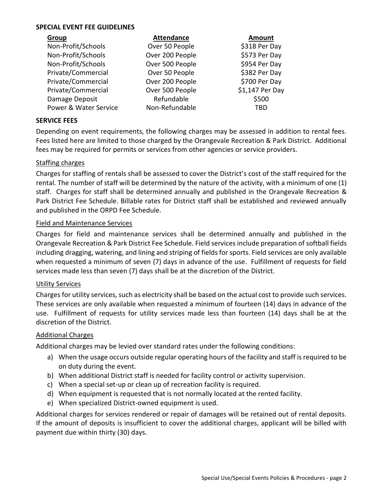## **SPECIAL EVENT FEE GUIDELINES**

| Group                 | <b>Attendance</b> | <b>Amount</b>   |
|-----------------------|-------------------|-----------------|
| Non-Profit/Schools    | Over 50 People    | \$318 Per Day   |
| Non-Profit/Schools    | Over 200 People   | \$573 Per Day   |
| Non-Profit/Schools    | Over 500 People   | \$954 Per Day   |
| Private/Commercial    | Over 50 People    | \$382 Per Day   |
| Private/Commercial    | Over 200 People   | \$700 Per Day   |
| Private/Commercial    | Over 500 People   | \$1,147 Per Day |
| Damage Deposit        | Refundable        | \$500           |
| Power & Water Service | Non-Refundable    | TBD             |

## **SERVICE FEES**

Depending on event requirements, the following charges may be assessed in addition to rental fees. Fees listed here are limited to those charged by the Orangevale Recreation & Park District. Additional fees may be required for permits or services from other agencies or service providers.

### Staffing charges

Charges for staffing of rentals shall be assessed to cover the District's cost of the staff required for the rental. The number of staff will be determined by the nature of the activity, with a minimum of one (1) staff. Charges for staff shall be determined annually and published in the Orangevale Recreation & Park District Fee Schedule. Billable rates for District staff shall be established and reviewed annually and published in the ORPD Fee Schedule.

### Field and Maintenance Services

Charges for field and maintenance services shall be determined annually and published in the Orangevale Recreation & Park District Fee Schedule. Field services include preparation of softball fields including dragging, watering, and lining and striping of fields for sports. Field services are only available when requested a minimum of seven (7) days in advance of the use. Fulfillment of requests for field services made less than seven (7) days shall be at the discretion of the District.

#### Utility Services

Charges for utility services, such as electricity shall be based on the actual cost to provide such services. These services are only available when requested a minimum of fourteen (14) days in advance of the use. Fulfillment of requests for utility services made less than fourteen (14) days shall be at the discretion of the District.

#### Additional Charges

Additional charges may be levied over standard rates under the following conditions:

- a) When the usage occurs outside regular operating hours of the facility and staff is required to be on duty during the event.
- b) When additional District staff is needed for facility control or activity supervision.
- c) When a special set-up or clean up of recreation facility is required.
- d) When equipment is requested that is not normally located at the rented facility.
- e) When specialized District-owned equipment is used.

Additional charges for services rendered or repair of damages will be retained out of rental deposits. If the amount of deposits is insufficient to cover the additional charges, applicant will be billed with payment due within thirty (30) days.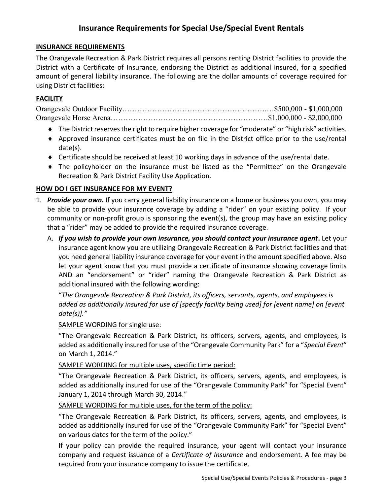# **Insurance Requirements for Special Use/Special Event Rentals**

## **INSURANCE REQUIREMENTS**

The Orangevale Recreation & Park District requires all persons renting District facilities to provide the District with a Certificate of Insurance, endorsing the District as additional insured, for a specified amount of general liability insurance. The following are the dollar amounts of coverage required for using District facilities:

## **FACILITY**

Orangevale Outdoor Facility………………………………………………….…\$500,000 - \$1,000,000 Orangevale Horse Arena………………………………………………………\$1,000,000 - \$2,000,000

- The District reserves the right to require higher coverage for "moderate" or "high risk" activities.
- Approved insurance certificates must be on file in the District office prior to the use/rental date(s).
- Certificate should be received at least 10 working days in advance of the use/rental date.
- The policyholder on the insurance must be listed as the "Permittee" on the Orangevale Recreation & Park District Facility Use Application.

## **HOW DO I GET INSURANCE FOR MY EVENT?**

- 1. *Provide your own***.** If you carry general liability insurance on a home or business you own, you may be able to provide your insurance coverage by adding a "rider" on your existing policy. If your community or non-profit group is sponsoring the event(s), the group may have an existing policy that a "rider" may be added to provide the required insurance coverage.
	- A. *If you wish to provide your own insurance, you should contact your insurance agent***.** Let your insurance agent know you are utilizing Orangevale Recreation & Park District facilities and that you need general liability insurance coverage for your event in the amount specified above. Also let your agent know that you must provide a certificate of insurance showing coverage limits AND an "endorsement" or "rider" naming the Orangevale Recreation & Park District as additional insured with the following wording:

"*The Orangevale Recreation & Park District, its officers, servants, agents, and employees is added as additionally insured for use of [specify facility being used] for [event name] on [event date(s)]."*

## SAMPLE WORDING for single use:

"The Orangevale Recreation & Park District, its officers, servers, agents, and employees, is added as additionally insured for use of the "Orangevale Community Park" for a "*Special Event*" on March 1, 2014."

SAMPLE WORDING for multiple uses, specific time period:

"The Orangevale Recreation & Park District, its officers, servers, agents, and employees, is added as additionally insured for use of the "Orangevale Community Park" for "Special Event" January 1, 2014 through March 30, 2014."

SAMPLE WORDING for multiple uses, for the term of the policy:

"The Orangevale Recreation & Park District, its officers, servers, agents, and employees, is added as additionally insured for use of the "Orangevale Community Park" for "Special Event" on various dates for the term of the policy."

If your policy can provide the required insurance, your agent will contact your insurance company and request issuance of a *Certificate of Insurance* and endorsement. A fee may be required from your insurance company to issue the certificate.